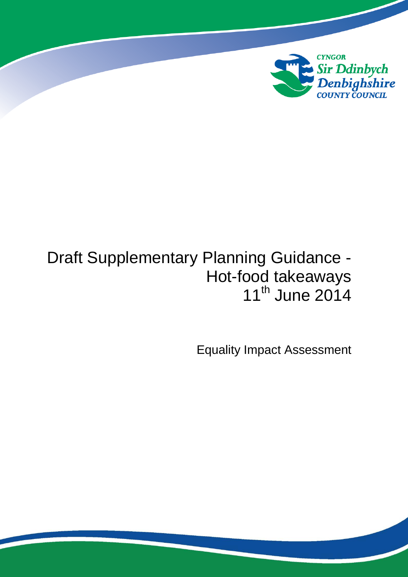

# Draft Supplementary Planning Guidance - Hot-food takeaways 11<sup>th</sup> June 2014

Equality Impact Assessment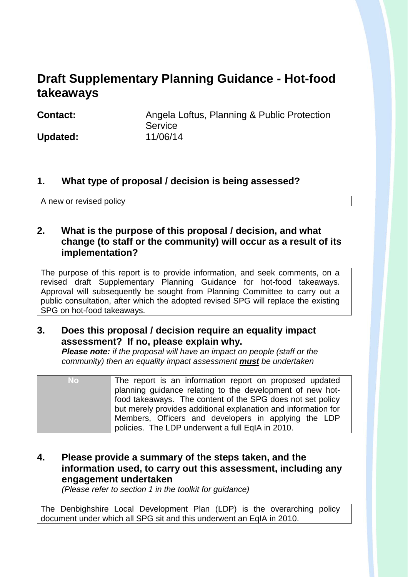## **Draft Supplementary Planning Guidance - Hot-food takeaways**

**Contact:** Angela Loftus, Planning & Public Protection **Service Updated:** 11/06/14

#### **1. What type of proposal / decision is being assessed?**

A new or revised policy

#### **2. What is the purpose of this proposal / decision, and what change (to staff or the community) will occur as a result of its implementation?**

The purpose of this report is to provide information, and seek comments, on a revised draft Supplementary Planning Guidance for hot-food takeaways. Approval will subsequently be sought from Planning Committee to carry out a public consultation, after which the adopted revised SPG will replace the existing SPG on hot-food takeaways.

#### **3. Does this proposal / decision require an equality impact assessment? If no, please explain why.**

*Please note: if the proposal will have an impact on people (staff or the community) then an equality impact assessment must be undertaken*

| No. | The report is an information report on proposed updated        |  |  |
|-----|----------------------------------------------------------------|--|--|
|     | planning guidance relating to the development of new hot-      |  |  |
|     | food takeaways. The content of the SPG does not set policy     |  |  |
|     | but merely provides additional explanation and information for |  |  |
|     | Members, Officers and developers in applying the LDP           |  |  |
|     | policies. The LDP underwent a full EqIA in 2010.               |  |  |

### **4. Please provide a summary of the steps taken, and the information used, to carry out this assessment, including any engagement undertaken**

*(Please refer to section 1 in the toolkit for guidance)*

The Denbighshire Local Development Plan (LDP) is the overarching policy document under which all SPG sit and this underwent an EqIA in 2010.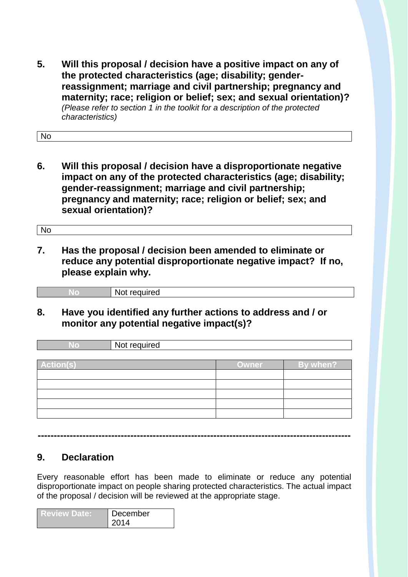**5. Will this proposal / decision have a positive impact on any of the protected characteristics (age; disability; genderreassignment; marriage and civil partnership; pregnancy and maternity; race; religion or belief; sex; and sexual orientation)?** *(Please refer to section 1 in the toolkit for a description of the protected characteristics)*

No

**6. Will this proposal / decision have a disproportionate negative impact on any of the protected characteristics (age; disability; gender-reassignment; marriage and civil partnership; pregnancy and maternity; race; religion or belief; sex; and sexual orientation)?**

No

**7. Has the proposal / decision been amended to eliminate or reduce any potential disproportionate negative impact? If no, please explain why.**

| Not required |
|--------------|
|              |

**8. Have you identified any further actions to address and / or monitor any potential negative impact(s)?**

| <b>No</b>        | Not required |       |          |
|------------------|--------------|-------|----------|
|                  |              |       |          |
| <b>Action(s)</b> |              | Owner | By when? |
|                  |              |       |          |
|                  |              |       |          |
|                  |              |       |          |
|                  |              |       |          |
|                  |              |       |          |
|                  |              |       |          |

**--------------------------------------------------------------------------------------------------**

#### **9. Declaration**

Every reasonable effort has been made to eliminate or reduce any potential disproportionate impact on people sharing protected characteristics. The actual impact of the proposal / decision will be reviewed at the appropriate stage.

| <b>Review Date:</b> | December |
|---------------------|----------|
|                     | 2014     |